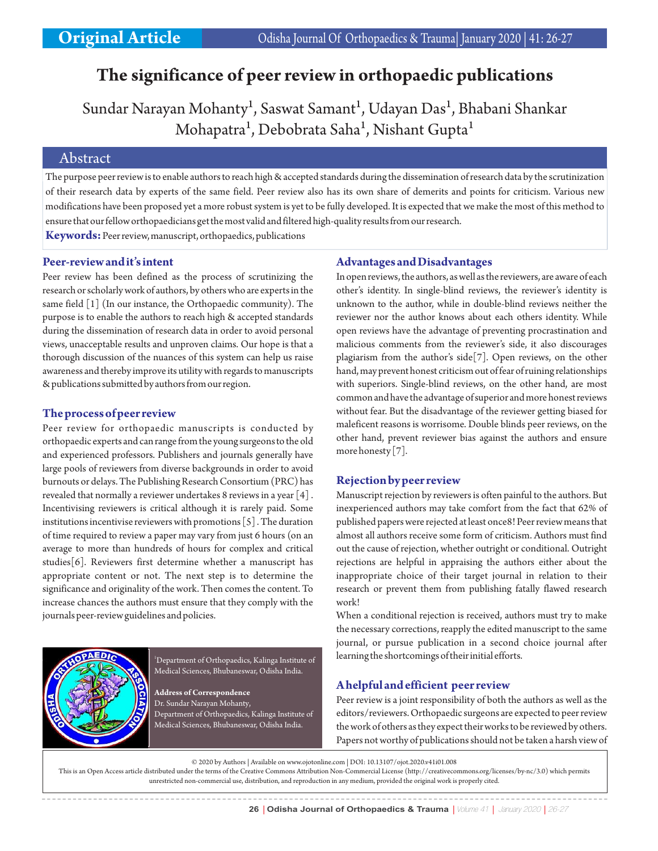# **The significance of peer review in orthopaedic publications**

Sundar Narayan Mohanty<sup>1</sup>, Saswat Samant<sup>1</sup>, Udayan Das<sup>1</sup>, Bhabani Shankar Mohapatra<sup>1</sup>, Debobrata Saha<sup>1</sup>, Nishant Gupta<sup>1</sup>

# Abstract

The purpose peer review is to enable authors to reach high & accepted standards during the dissemination of research data by the scrutinization of their research data by experts of the same field. Peer review also has its own share of demerits and points for criticism. Various new modifications have been proposed yet a more robust system is yet to be fully developed. It is expected that we make the most of this method to ensure that our fellow orthopaedicians get the most valid and filtered high-quality results from our research.

**Keywords:**Peer review, manuscript, orthopaedics, publications

#### **Peer-review and it's intent**

Peer review has been defined as the process of scrutinizing the research or scholarly work of authors, by others who are experts in the same field [1] (In our instance, the Orthopaedic community). The purpose is to enable the authors to reach high & accepted standards during the dissemination of research data in order to avoid personal views, unacceptable results and unproven claims. Our hope is that a thorough discussion of the nuances of this system can help us raise awareness and thereby improve its utility with regards to manuscripts & publications submitted by authors from our region.

## **The process of peer review**

Peer review for orthopaedic manuscripts is conducted by orthopaedic experts and can range from the young surgeons to the old and experienced professors. Publishers and journals generally have large pools of reviewers from diverse backgrounds in order to avoid burnouts or delays. The Publishing Research Consortium (PRC) has revealed that normally a reviewer undertakes 8 reviews in a year [4] . Incentivising reviewers is critical although it is rarely paid. Some institutions incentivise reviewers with promotions [5] . The duration of time required to review a paper may vary from just 6 hours (on an average to more than hundreds of hours for complex and critical studies[6]. Reviewers first determine whether a manuscript has appropriate content or not. The next step is to determine the significance and originality of the work. Then comes the content. To increase chances the authors must ensure that they comply with the journals peer-review guidelines and policies.



<sup>1</sup>Department of Orthopaedics, Kalinga Institute of Medical Sciences, Bhubaneswar, Odisha India.

**Address of Correspondence** Dr. Sundar Narayan Mohanty, Department of Orthopaedics, Kalinga Institute of Medical Sciences, Bhubaneswar, Odisha India.

#### **Advantages and Disadvantages**

In open reviews, the authors, as well as the reviewers, are aware of each other's identity. In single-blind reviews, the reviewer's identity is unknown to the author, while in double-blind reviews neither the reviewer nor the author knows about each others identity. While open reviews have the advantage of preventing procrastination and malicious comments from the reviewer's side, it also discourages plagiarism from the author's side[7]. Open reviews, on the other hand, may prevent honest criticism out of fear of ruining relationships with superiors. Single-blind reviews, on the other hand, are most common and have the advantage of superior and more honest reviews without fear. But the disadvantage of the reviewer getting biased for maleficent reasons is worrisome. Double blinds peer reviews, on the other hand, prevent reviewer bias against the authors and ensure more honesty [7].

## **Rejection by peer review**

Manuscript rejection by reviewers is often painful to the authors. But inexperienced authors may take comfort from the fact that 62% of published papers were rejected at least once8! Peer review means that almost all authors receive some form of criticism. Authors must find out the cause of rejection, whether outright or conditional. Outright rejections are helpful in appraising the authors either about the inappropriate choice of their target journal in relation to their research or prevent them from publishing fatally flawed research work!

When a conditional rejection is received, authors must try to make the necessary corrections, reapply the edited manuscript to the same journal, or pursue publication in a second choice journal after learning the shortcomings of their initial efforts.

# **A helpful and efficient peer review**

Peer review is a joint responsibility of both the authors as well as the editors/reviewers. Orthopaedic surgeons are expected to peer review the work of others as they expect their works to be reviewed by others. Papers not worthy of publications should not be taken a harsh view of

© 2020 by Authors | Available on www.ojotonline.com | DOI: 10.13107/ojot.2020.v41i01.008

This is an Open Access article distributed under the terms of the Creative Commons Attribution Non-Commercial License (http://creativecommons.org/licenses/by-nc/3.0) which permits unrestricted non-commercial use, distribution, and reproduction in any medium, provided the original work is properly cited.